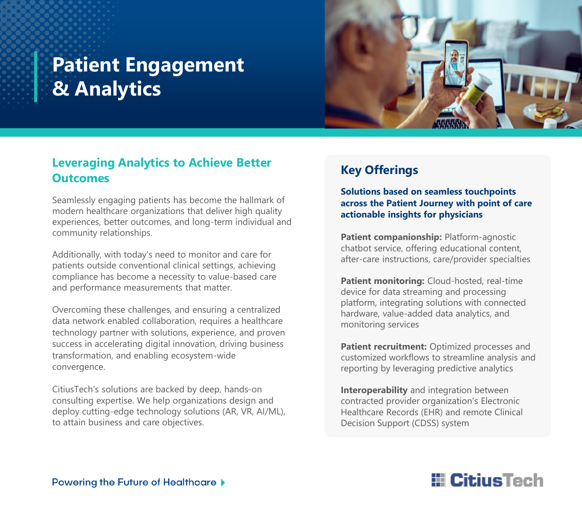# **Patient Engagement & Analytics**



#### **Leveraging Analytics to Achieve Better Outcomes**

Seamlessly engaging patients has become the hallmark of modern healthcare organizations that deliver high quality experiences, better outcomes, and long-term individual and community relationships.

Additionally, with today's need to monitor and care for patients outside conventional clinical settings, achieving compliance has become a necessity to value-based care and performance measurements that matter.

Overcoming these challenges, and ensuring a centralized data network enabled collaboration, requires a healthcare technology partner with solutions, experience, and proven success in accelerating digital innovation, driving business transformation, and enabling ecosystem-wide convergence.

CitiusTech's solutions are backed by deep, hands-on consulting expertise. We help organizations design and deploy cutting-edge technology solutions (AR, VR, AI/ML), to attain business and care objectives.

### **Key Offerings**

**Solutions based on seamless touchpoints across the Patient Journey with point of care actionable insights for physicians**

**Patient companionship: Platform-agnostic** chatbot service, offering educational content, after-care instructions, care/provider specialties

**Patient monitoring:** Cloud-hosted, real-time device for data streaming and processing platform, integrating solutions with connected hardware, value-added data analytics, and monitoring services

Patient recruitment: Optimized processes and customized workflows to streamline analysis and reporting by leveraging predictive analytics

**Interoperability** and integration between contracted provider organization's Electronic Healthcare Records (EHR) and remote Clinical Decision Support (CDSS) system

## **E** CitiusTech